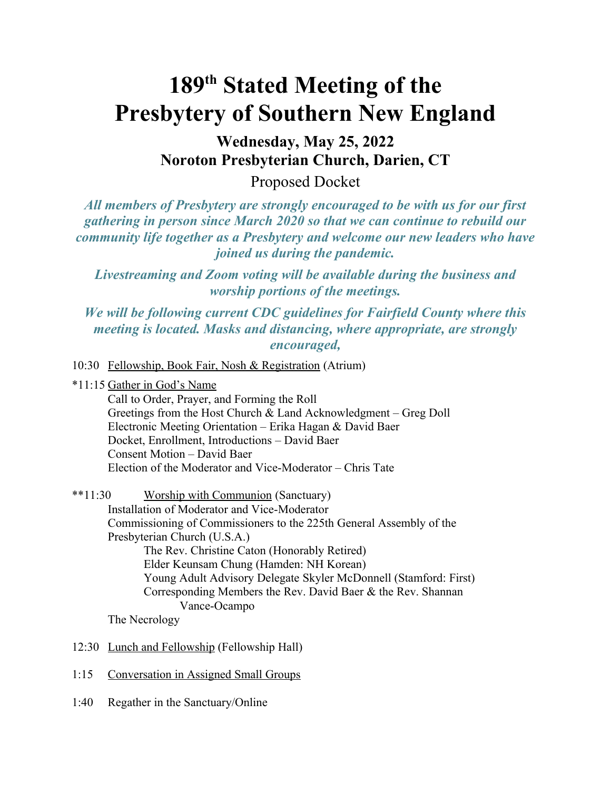## **189th Stated Meeting of the Presbytery of Southern New England**

**Wednesday, May 25, 2022 Noroton Presbyterian Church, Darien, CT**

Proposed Docket

*All members of Presbytery are strongly encouraged to be with us for our first gathering in person since March 2020 so that we can continue to rebuild our community life together as a Presbytery and welcome our new leaders who have joined us during the pandemic.* 

*Livestreaming and Zoom voting will be available during the business and worship portions of the meetings.* 

*We will be following current CDC guidelines for Fairfield County where this meeting is located. Masks and distancing, where appropriate, are strongly encouraged,*

10:30 Fellowship, Book Fair, Nosh & Registration (Atrium)

\*11:15 Gather in God's Name

Call to Order, Prayer, and Forming the Roll Greetings from the Host Church & Land Acknowledgment – Greg Doll Electronic Meeting Orientation – Erika Hagan & David Baer Docket, Enrollment, Introductions – David Baer Consent Motion – David Baer Election of the Moderator and Vice-Moderator – Chris Tate

\*\*11:30 Worship with Communion (Sanctuary) Installation of Moderator and Vice-Moderator Commissioning of Commissioners to the 225th General Assembly of the Presbyterian Church (U.S.A.) The Rev. Christine Caton (Honorably Retired) Elder Keunsam Chung (Hamden: NH Korean) Young Adult Advisory Delegate Skyler McDonnell (Stamford: First) Corresponding Members the Rev. David Baer & the Rev. Shannan Vance-Ocampo The Necrology

- 12:30 Lunch and Fellowship (Fellowship Hall)
- 1:15 Conversation in Assigned Small Groups
- 1:40 Regather in the Sanctuary/Online